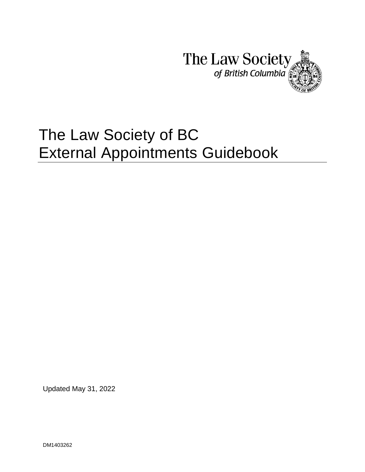

# The Law Society of BC External Appointments Guidebook

Updated May 31, 2022

DM1403262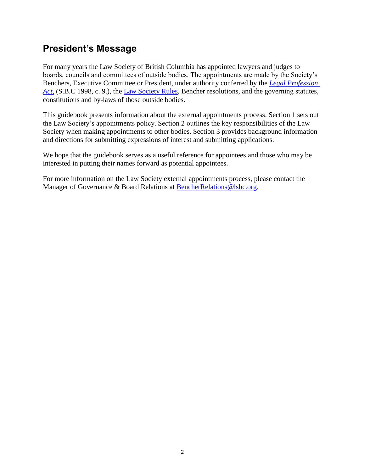## **President's Message**

For many years the Law Society of British Columbia has appointed lawyers and judges to boards, councils and committees of outside bodies. The appointments are made by the Society's Benchers, Executive Committee or President, under authority conferred by the *[Legal Profession](https://www.lawsociety.bc.ca/support-and-resources-for-lawyers/act-rules-and-code/legal-profession-act/part-1-organization/)*  [Act](https://www.lawsociety.bc.ca/support-and-resources-for-lawyers/act-rules-and-code/legal-profession-act/part-1-organization/), (S.B.C 1998, c. 9.), the [Law Society Rules,](https://www.lawsociety.bc.ca/support-and-resources-for-lawyers/act-rules-and-code/law-society-rules/) Bencher resolutions, and the governing statutes, constitutions and by-laws of those outside bodies.

This guidebook presents information about the external appointments process. Section 1 sets out the Law Society's appointments policy. Section 2 outlines the key responsibilities of the Law Society when making appointments to other bodies. Section 3 provides background information and directions for submitting expressions of interest and submitting applications.

We hope that the guidebook serves as a useful reference for appointees and those who may be interested in putting their names forward as potential appointees.

For more information on the Law Society external appointments process, please contact the Manager of Governance & Board Relations at [BencherRelations@lsbc.org.](mailto:BencherRelations@lsbc.org)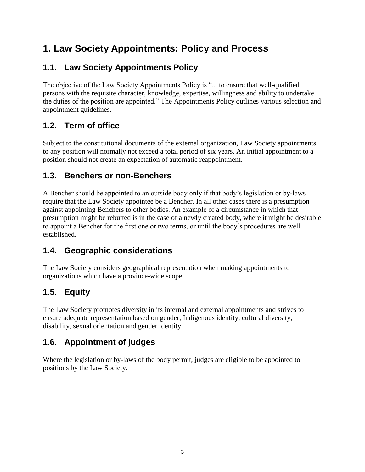## **1. Law Society Appointments: Policy and Process**

#### **1.1. Law Society Appointments Policy**

The objective of the Law Society Appointments Policy is "... to ensure that well-qualified persons with the requisite character, knowledge, expertise, willingness and ability to undertake the duties of the position are appointed." The Appointments Policy outlines various selection and appointment guidelines.

### **1.2. Term of office**

Subject to the constitutional documents of the external organization, Law Society appointments to any position will normally not exceed a total period of six years. An initial appointment to a position should not create an expectation of automatic reappointment.

#### **1.3. Benchers or non-Benchers**

A Bencher should be appointed to an outside body only if that body's legislation or by-laws require that the Law Society appointee be a Bencher. In all other cases there is a presumption against appointing Benchers to other bodies. An example of a circumstance in which that presumption might be rebutted is in the case of a newly created body, where it might be desirable to appoint a Bencher for the first one or two terms, or until the body's procedures are well established.

#### **1.4. Geographic considerations**

The Law Society considers geographical representation when making appointments to organizations which have a province-wide scope.

#### **1.5. Equity**

The Law Society promotes diversity in its internal and external appointments and strives to ensure adequate representation based on gender, Indigenous identity, cultural diversity, disability, sexual orientation and gender identity.

#### **1.6. Appointment of judges**

Where the legislation or by-laws of the body permit, judges are eligible to be appointed to positions by the Law Society.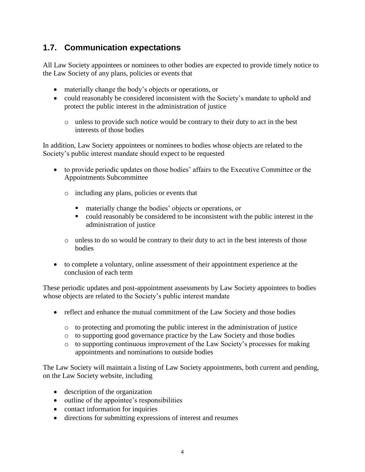#### **1.7. Communication expectations**

All Law Society appointees or nominees to other bodies are expected to provide timely notice to the Law Society of any plans, policies or events that

- materially change the body's objects or operations, or
- could reasonably be considered inconsistent with the Society's mandate to uphold and protect the public interest in the administration of justice
	- o unless to provide such notice would be contrary to their duty to act in the best interests of those bodies

In addition, Law Society appointees or nominees to bodies whose objects are related to the Society's public interest mandate should expect to be requested

- to provide periodic updates on those bodies' affairs to the Executive Committee or the Appointments Subcommittee
	- o including any plans, policies or events that
		- materially change the bodies' objects or operations, or
		- could reasonably be considered to be inconsistent with the public interest in the administration of justice
	- o unless to do so would be contrary to their duty to act in the best interests of those bodies
- to complete a voluntary, online assessment of their appointment experience at the conclusion of each term

These periodic updates and post-appointment assessments by Law Society appointees to bodies whose objects are related to the Society's public interest mandate

- reflect and enhance the mutual commitment of the Law Society and those bodies
	- o to protecting and promoting the public interest in the administration of justice
	- o to supporting good governance practice by the Law Society and those bodies
	- o to supporting continuous improvement of the Law Society's processes for making appointments and nominations to outside bodies

The Law Society will maintain a listing of Law Society appointments, both current and pending, on the Law Society website, including

- description of the organization
- outline of the appointee's responsibilities
- contact information for inquiries
- directions for submitting expressions of interest and resumes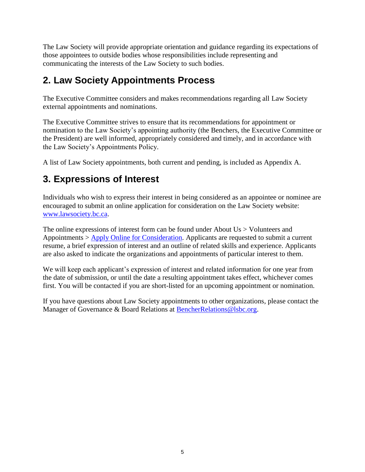The Law Society will provide appropriate orientation and guidance regarding its expectations of those appointees to outside bodies whose responsibilities include representing and communicating the interests of the Law Society to such bodies.

## **2. Law Society Appointments Process**

The Executive Committee considers and makes recommendations regarding all Law Society external appointments and nominations.

The Executive Committee strives to ensure that its recommendations for appointment or nomination to the Law Society's appointing authority (the Benchers, the Executive Committee or the President) are well informed, appropriately considered and timely, and in accordance with the Law Society's Appointments Policy.

A list of Law Society appointments, both current and pending, is included as Appendix A.

## **3. Expressions of Interest**

Individuals who wish to express their interest in being considered as an appointee or nominee are encouraged to submit an online application for consideration on the Law Society website: [www.lawsociety.bc.ca.](http://www.lawsociety.bc.ca/)

The online expressions of interest form can be found under About Us > Volunteers and Appointments > [Apply Online for](https://www.lawsociety.bc.ca/lsbc/apps/forms/appt/index.cfm) Consideration. Applicants are requested to submit a current resume, a brief expression of interest and an outline of related skills and experience. Applicants are also asked to indicate the organizations and appointments of particular interest to them.

We will keep each applicant's expression of interest and related information for one year from the date of submission, or until the date a resulting appointment takes effect, whichever comes first. You will be contacted if you are short-listed for an upcoming appointment or nomination.

If you have questions about Law Society appointments to other organizations, please contact the Manager of Governance & Board Relations at [BencherRelations@lsbc.org.](mailto:BencherRelations@lsbc.org)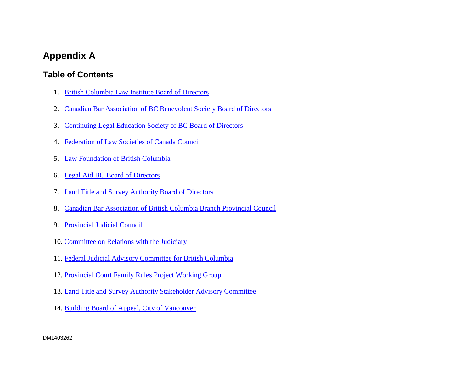#### **Appendix A**

#### **Table of Contents**

- 1. [British Columbia Law Institute Board of Directors](#page-7-0)
- 2. [Canadian Bar Association of BC Benevolent Society Board of Directors](#page-7-1)
- 3. Continuing Legal [Education Society of BC](#page-8-0) Board of Directors
- 4. [Federation of Law Societies of Canada Council](#page-10-0)
- 5. [Law Foundation of British Columbia](#page-11-0)
- 6. Legal Aid BC [Board of Directors](#page-12-0)
- 7. [Land Title and Survey Authority Board of Directors](#page-13-0)
- 8. [Canadian Bar Association of British Columbia Branch Provincial Council](#page-14-0)
- 9. [Provincial Judicial Council](#page-15-0)
- 10. [Committee on Relations with the Judiciary](#page-16-0)
- 11. [Federal Judicial Advisory Committee for British Columbia](#page-17-0)
- 12. [Provincial Court Family Rules Project Working Group](#page-17-1)
- 13. [Land Title and Survey Authority Stakeholder Advisory Committee](#page-18-0)
- 14. [Building Board of Appeal, City of Vancouver](#page-19-0)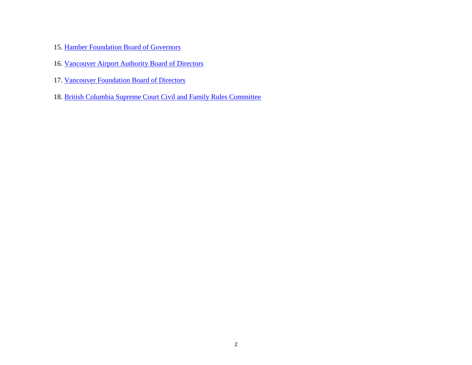- 15. [Hamber Foundation Board of Governors](#page-20-0)
- 16. Vancouver [Airport Authority Board of Directors](#page-21-0)
- 17. [Vancouver Foundation Board of Directors](#page-22-0)
- 18. [British Columbia Supreme Court Civil and Family Rules Committee](#page-22-1)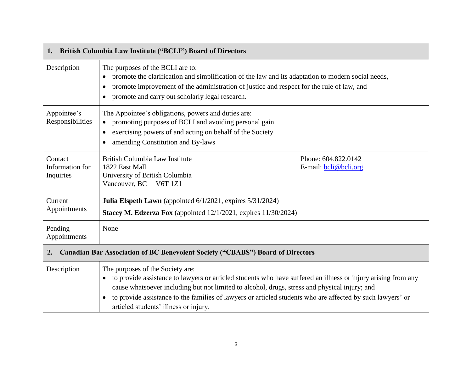<span id="page-7-1"></span><span id="page-7-0"></span>

| 1.                                      | British Columbia Law Institute ("BCLI") Board of Directors                                                                                                                                                                                                                                                                                                                                                               |
|-----------------------------------------|--------------------------------------------------------------------------------------------------------------------------------------------------------------------------------------------------------------------------------------------------------------------------------------------------------------------------------------------------------------------------------------------------------------------------|
| Description                             | The purposes of the BCLI are to:<br>promote the clarification and simplification of the law and its adaptation to modern social needs,<br>promote improvement of the administration of justice and respect for the rule of law, and<br>promote and carry out scholarly legal research.                                                                                                                                   |
| Appointee's<br>Responsibilities         | The Appointee's obligations, powers and duties are:<br>promoting purposes of BCLI and avoiding personal gain<br>exercising powers of and acting on behalf of the Society<br>$\bullet$<br>amending Constitution and By-laws                                                                                                                                                                                               |
| Contact<br>Information for<br>Inquiries | British Columbia Law Institute<br>Phone: 604.822.0142<br>1822 East Mall<br>E-mail: <b>bcli@bcli.org</b><br>University of British Columbia<br>Vancouver, BC V6T 1Z1                                                                                                                                                                                                                                                       |
| Current<br>Appointments                 | Julia Elspeth Lawn (appointed 6/1/2021, expires 5/31/2024)<br>Stacey M. Edzerza Fox (appointed 12/1/2021, expires 11/30/2024)                                                                                                                                                                                                                                                                                            |
| Pending<br>Appointments                 | None                                                                                                                                                                                                                                                                                                                                                                                                                     |
| 2.                                      | <b>Canadian Bar Association of BC Benevolent Society ("CBABS") Board of Directors</b>                                                                                                                                                                                                                                                                                                                                    |
| Description                             | The purposes of the Society are:<br>• to provide assistance to lawyers or articled students who have suffered an illness or injury arising from any<br>cause whatsoever including but not limited to alcohol, drugs, stress and physical injury; and<br>to provide assistance to the families of lawyers or articled students who are affected by such lawyers' or<br>$\bullet$<br>articled students' illness or injury. |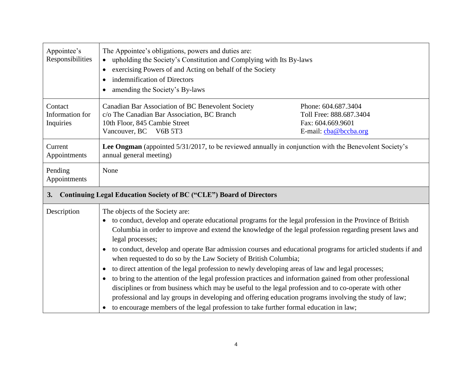<span id="page-8-0"></span>

| Appointee's<br>Responsibilities         | The Appointee's obligations, powers and duties are:<br>upholding the Society's Constitution and Complying with Its By-laws<br>$\bullet$<br>exercising Powers of and Acting on behalf of the Society<br>indemnification of Directors<br>amending the Society's By-laws                                                                                                                                                                                                                                                                                                                                                                                                                                                                                                                                                                                                                                                                                                                                    |                                                                                              |
|-----------------------------------------|----------------------------------------------------------------------------------------------------------------------------------------------------------------------------------------------------------------------------------------------------------------------------------------------------------------------------------------------------------------------------------------------------------------------------------------------------------------------------------------------------------------------------------------------------------------------------------------------------------------------------------------------------------------------------------------------------------------------------------------------------------------------------------------------------------------------------------------------------------------------------------------------------------------------------------------------------------------------------------------------------------|----------------------------------------------------------------------------------------------|
| Contact<br>Information for<br>Inquiries | Canadian Bar Association of BC Benevolent Society<br>c/o The Canadian Bar Association, BC Branch<br>10th Floor, 845 Cambie Street<br>Vancouver, BC<br>V6B 5T3                                                                                                                                                                                                                                                                                                                                                                                                                                                                                                                                                                                                                                                                                                                                                                                                                                            | Phone: 604.687.3404<br>Toll Free: 888.687.3404<br>Fax: 604.669.9601<br>E-mail: cba@bccba.org |
| Current<br>Appointments                 | Lee Ongman (appointed 5/31/2017, to be reviewed annually in conjunction with the Benevolent Society's<br>annual general meeting)                                                                                                                                                                                                                                                                                                                                                                                                                                                                                                                                                                                                                                                                                                                                                                                                                                                                         |                                                                                              |
| Pending<br>Appointments                 | None                                                                                                                                                                                                                                                                                                                                                                                                                                                                                                                                                                                                                                                                                                                                                                                                                                                                                                                                                                                                     |                                                                                              |
| 3.                                      | <b>Continuing Legal Education Society of BC ("CLE") Board of Directors</b>                                                                                                                                                                                                                                                                                                                                                                                                                                                                                                                                                                                                                                                                                                                                                                                                                                                                                                                               |                                                                                              |
| Description                             | The objects of the Society are:<br>to conduct, develop and operate educational programs for the legal profession in the Province of British<br>Columbia in order to improve and extend the knowledge of the legal profession regarding present laws and<br>legal processes;<br>to conduct, develop and operate Bar admission courses and educational programs for articled students if and<br>when requested to do so by the Law Society of British Columbia;<br>to direct attention of the legal profession to newly developing areas of law and legal processes;<br>$\bullet$<br>to bring to the attention of the legal profession practices and information gained from other professional<br>disciplines or from business which may be useful to the legal profession and to co-operate with other<br>professional and lay groups in developing and offering education programs involving the study of law;<br>to encourage members of the legal profession to take further formal education in law; |                                                                                              |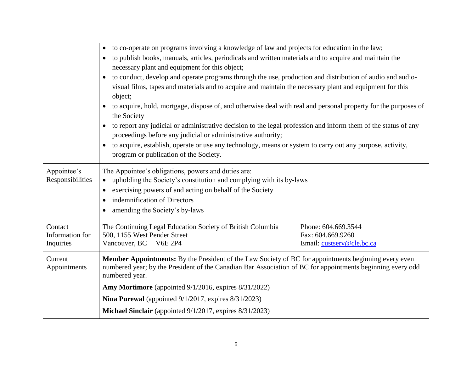|                                 | to co-operate on programs involving a knowledge of law and projects for education in the law;<br>$\bullet$                                                                                                                |
|---------------------------------|---------------------------------------------------------------------------------------------------------------------------------------------------------------------------------------------------------------------------|
|                                 | to publish books, manuals, articles, periodicals and written materials and to acquire and maintain the                                                                                                                    |
|                                 | necessary plant and equipment for this object;                                                                                                                                                                            |
|                                 | to conduct, develop and operate programs through the use, production and distribution of audio and audio-                                                                                                                 |
|                                 | visual films, tapes and materials and to acquire and maintain the necessary plant and equipment for this<br>object;                                                                                                       |
|                                 | to acquire, hold, mortgage, dispose of, and otherwise deal with real and personal property for the purposes of<br>the Society                                                                                             |
|                                 | to report any judicial or administrative decision to the legal profession and inform them of the status of any<br>proceedings before any judicial or administrative authority;                                            |
|                                 | to acquire, establish, operate or use any technology, means or system to carry out any purpose, activity,                                                                                                                 |
|                                 | program or publication of the Society.                                                                                                                                                                                    |
|                                 |                                                                                                                                                                                                                           |
| Appointee's<br>Responsibilities | The Appointee's obligations, powers and duties are:<br>upholding the Society's constitution and complying with its by-laws                                                                                                |
|                                 | exercising powers of and acting on behalf of the Society                                                                                                                                                                  |
|                                 | indemnification of Directors<br>$\bullet$                                                                                                                                                                                 |
|                                 | amending the Society's by-laws                                                                                                                                                                                            |
| Contact                         | Phone: 604.669.3544                                                                                                                                                                                                       |
| Information for                 | The Continuing Legal Education Society of British Columbia<br>500, 1155 West Pender Street<br>Fax: 604.669.9260                                                                                                           |
| Inquiries                       | <b>V6E 2P4</b><br>Vancouver, BC<br>Email: custserv@cle.bc.ca                                                                                                                                                              |
| Current<br>Appointments         | <b>Member Appointments:</b> By the President of the Law Society of BC for appointments beginning every even<br>numbered year; by the President of the Canadian Bar Association of BC for appointments beginning every odd |
|                                 | numbered year.                                                                                                                                                                                                            |
|                                 | Amy Mortimore (appointed 9/1/2016, expires 8/31/2022)                                                                                                                                                                     |
|                                 | Nina Purewal (appointed $9/1/2017$ , expires $8/31/2023$ )                                                                                                                                                                |
|                                 | Michael Sinclair (appointed 9/1/2017, expires 8/31/2023)                                                                                                                                                                  |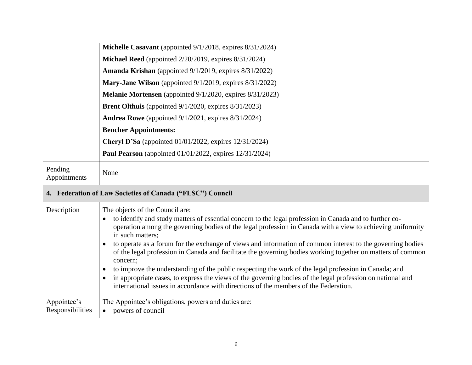<span id="page-10-0"></span>

|                         | Michelle Casavant (appointed 9/1/2018, expires 8/31/2024)                                                                                                                                                                                                                                                                                                                                                                                                                                                                                                                                                                                                             |
|-------------------------|-----------------------------------------------------------------------------------------------------------------------------------------------------------------------------------------------------------------------------------------------------------------------------------------------------------------------------------------------------------------------------------------------------------------------------------------------------------------------------------------------------------------------------------------------------------------------------------------------------------------------------------------------------------------------|
|                         | Michael Reed (appointed 2/20/2019, expires 8/31/2024)                                                                                                                                                                                                                                                                                                                                                                                                                                                                                                                                                                                                                 |
|                         | Amanda Krishan (appointed 9/1/2019, expires 8/31/2022)                                                                                                                                                                                                                                                                                                                                                                                                                                                                                                                                                                                                                |
|                         | Mary-Jane Wilson (appointed 9/1/2019, expires 8/31/2022)                                                                                                                                                                                                                                                                                                                                                                                                                                                                                                                                                                                                              |
|                         | Melanie Mortensen (appointed 9/1/2020, expires 8/31/2023)                                                                                                                                                                                                                                                                                                                                                                                                                                                                                                                                                                                                             |
|                         | <b>Brent Olthuis</b> (appointed $9/1/2020$ , expires $8/31/2023$ )                                                                                                                                                                                                                                                                                                                                                                                                                                                                                                                                                                                                    |
|                         | <b>Andrea Rowe</b> (appointed $9/1/2021$ , expires $8/31/2024$ )                                                                                                                                                                                                                                                                                                                                                                                                                                                                                                                                                                                                      |
|                         | <b>Bencher Appointments:</b>                                                                                                                                                                                                                                                                                                                                                                                                                                                                                                                                                                                                                                          |
|                         | <b>Cheryl D'Sa</b> (appointed 01/01/2022, expires 12/31/2024)                                                                                                                                                                                                                                                                                                                                                                                                                                                                                                                                                                                                         |
|                         | <b>Paul Pearson</b> (appointed $01/01/2022$ , expires $12/31/2024$ )                                                                                                                                                                                                                                                                                                                                                                                                                                                                                                                                                                                                  |
| Pending<br>Appointments | None                                                                                                                                                                                                                                                                                                                                                                                                                                                                                                                                                                                                                                                                  |
|                         | 4. Federation of Law Societies of Canada ("FLSC") Council                                                                                                                                                                                                                                                                                                                                                                                                                                                                                                                                                                                                             |
| Description             | The objects of the Council are:<br>to identify and study matters of essential concern to the legal profession in Canada and to further co-<br>$\bullet$<br>operation among the governing bodies of the legal profession in Canada with a view to achieving uniformity<br>in such matters;<br>to operate as a forum for the exchange of views and information of common interest to the governing bodies<br>$\bullet$<br>of the legal profession in Canada and facilitate the governing bodies working together on matters of common<br>concern;<br>to improve the understanding of the public respecting the work of the legal profession in Canada; and<br>$\bullet$ |
|                         | in appropriate cases, to express the views of the governing bodies of the legal profession on national and<br>$\bullet$<br>international issues in accordance with directions of the members of the Federation.                                                                                                                                                                                                                                                                                                                                                                                                                                                       |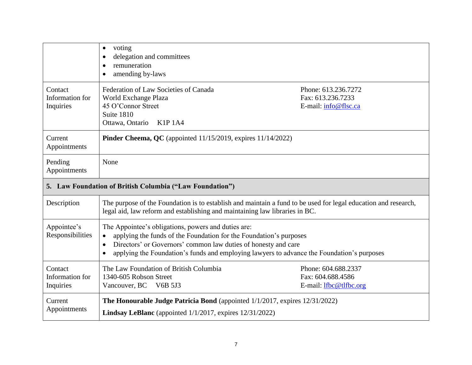<span id="page-11-0"></span>

|                                         | voting<br>$\bullet$<br>delegation and committees<br>remuneration<br>amending by-laws<br>$\bullet$                                                                                                                                                                                                      |                                                                    |
|-----------------------------------------|--------------------------------------------------------------------------------------------------------------------------------------------------------------------------------------------------------------------------------------------------------------------------------------------------------|--------------------------------------------------------------------|
| Contact<br>Information for<br>Inquiries | Federation of Law Societies of Canada<br>World Exchange Plaza<br>45 O'Connor Street<br>Suite 1810<br>Ottawa, Ontario<br>K1P 1A4                                                                                                                                                                        | Phone: 613.236.7272<br>Fax: 613.236.7233<br>E-mail: info@flsc.ca   |
| Current<br>Appointments                 | Pinder Cheema, QC (appointed 11/15/2019, expires 11/14/2022)                                                                                                                                                                                                                                           |                                                                    |
| Pending<br>Appointments                 | None                                                                                                                                                                                                                                                                                                   |                                                                    |
|                                         | 5. Law Foundation of British Columbia ("Law Foundation")                                                                                                                                                                                                                                               |                                                                    |
| Description                             | The purpose of the Foundation is to establish and maintain a fund to be used for legal education and research,<br>legal aid, law reform and establishing and maintaining law libraries in BC.                                                                                                          |                                                                    |
| Appointee's<br>Responsibilities         | The Appointee's obligations, powers and duties are:<br>applying the funds of the Foundation for the Foundation's purposes<br>Directors' or Governors' common law duties of honesty and care<br>$\bullet$<br>applying the Foundation's funds and employing lawyers to advance the Foundation's purposes |                                                                    |
| Contact<br>Information for<br>Inquiries | The Law Foundation of British Columbia<br>1340-605 Robson Street<br>Vancouver, BC V6B 5J3                                                                                                                                                                                                              | Phone: 604.688.2337<br>Fax: 604.688.4586<br>E-mail: lfbc@tlfbc.org |
| Current<br>Appointments                 | The Honourable Judge Patricia Bond (appointed 1/1/2017, expires 12/31/2022)<br><b>Lindsay LeBlanc</b> (appointed $1/1/2017$ , expires $12/31/2022$ )                                                                                                                                                   |                                                                    |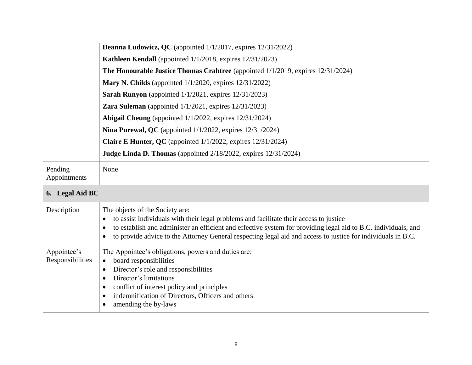<span id="page-12-0"></span>

|                                 | <b>Deanna Ludowicz, QC</b> (appointed 1/1/2017, expires 12/31/2022)                                                                                                                                                                                                                                                                                         |
|---------------------------------|-------------------------------------------------------------------------------------------------------------------------------------------------------------------------------------------------------------------------------------------------------------------------------------------------------------------------------------------------------------|
|                                 | Kathleen Kendall (appointed 1/1/2018, expires 12/31/2023)                                                                                                                                                                                                                                                                                                   |
|                                 | The Honourable Justice Thomas Crabtree (appointed 1/1/2019, expires 12/31/2024)                                                                                                                                                                                                                                                                             |
|                                 | Mary N. Childs (appointed $1/1/2020$ , expires $12/31/2022$ )                                                                                                                                                                                                                                                                                               |
|                                 | Sarah Runyon (appointed 1/1/2021, expires 12/31/2023)                                                                                                                                                                                                                                                                                                       |
|                                 | Zara Suleman (appointed $1/1/2021$ , expires $12/31/2023$ )                                                                                                                                                                                                                                                                                                 |
|                                 | Abigail Cheung (appointed 1/1/2022, expires 12/31/2024)                                                                                                                                                                                                                                                                                                     |
|                                 | Nina Purewal, QC (appointed 1/1/2022, expires 12/31/2024)                                                                                                                                                                                                                                                                                                   |
|                                 | <b>Claire E Hunter, QC</b> (appointed $1/1/2022$ , expires $12/31/2024$ )                                                                                                                                                                                                                                                                                   |
|                                 | Judge Linda D. Thomas (appointed 2/18/2022, expires 12/31/2024)                                                                                                                                                                                                                                                                                             |
| Pending<br>Appointments         | None                                                                                                                                                                                                                                                                                                                                                        |
| 6. Legal Aid BC                 |                                                                                                                                                                                                                                                                                                                                                             |
| Description                     | The objects of the Society are:<br>to assist individuals with their legal problems and facilitate their access to justice<br>to establish and administer an efficient and effective system for providing legal aid to B.C. individuals, and<br>to provide advice to the Attorney General respecting legal aid and access to justice for individuals in B.C. |
| Appointee's<br>Responsibilities | The Appointee's obligations, powers and duties are:<br>board responsibilities<br>$\bullet$<br>Director's role and responsibilities<br>$\bullet$<br>Director's limitations<br>conflict of interest policy and principles<br>$\bullet$<br>indemnification of Directors, Officers and others<br>$\bullet$<br>amending the by-laws                              |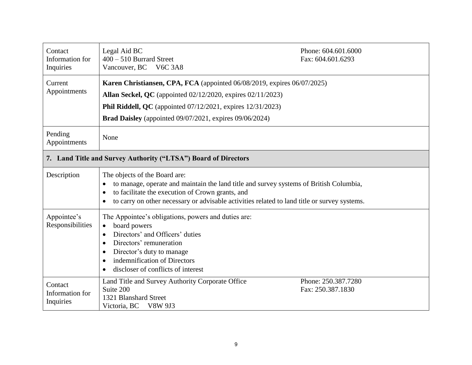<span id="page-13-0"></span>

| Contact<br>Information for<br>Inquiries | Legal Aid BC<br>$400 - 510$ Burrard Street<br>Vancouver, BC V6C 3A8                                                                                                                                                                                                                      | Phone: 604.601.6000<br>Fax: 604.601.6293 |
|-----------------------------------------|------------------------------------------------------------------------------------------------------------------------------------------------------------------------------------------------------------------------------------------------------------------------------------------|------------------------------------------|
| Current<br>Appointments                 | Karen Christiansen, CPA, FCA (appointed 06/08/2019, expires 06/07/2025)<br>Allan Seckel, QC (appointed 02/12/2020, expires 02/11/2023)<br><b>Phil Riddell, QC</b> (appointed $07/12/2021$ , expires $12/31/2023$ )<br><b>Brad Daisley</b> (appointed 09/07/2021, expires 09/06/2024)     |                                          |
| Pending<br>Appointments                 | None                                                                                                                                                                                                                                                                                     |                                          |
|                                         | 7. Land Title and Survey Authority ("LTSA") Board of Directors                                                                                                                                                                                                                           |                                          |
| Description                             | The objects of the Board are:<br>to manage, operate and maintain the land title and survey systems of British Columbia,<br>to facilitate the execution of Crown grants, and<br>$\bullet$<br>to carry on other necessary or advisable activities related to land title or survey systems. |                                          |
| Appointee's<br>Responsibilities         | The Appointee's obligations, powers and duties are:<br>board powers<br>Directors' and Officers' duties<br>$\bullet$<br>Directors' remuneration<br>$\bullet$<br>Director's duty to manage<br>$\bullet$<br>indemnification of Directors<br>discloser of conflicts of interest              |                                          |
| Contact<br>Information for<br>Inquiries | Land Title and Survey Authority Corporate Office<br>Suite 200<br>1321 Blanshard Street<br>Victoria, BC<br><b>V8W 9J3</b>                                                                                                                                                                 | Phone: 250.387.7280<br>Fax: 250.387.1830 |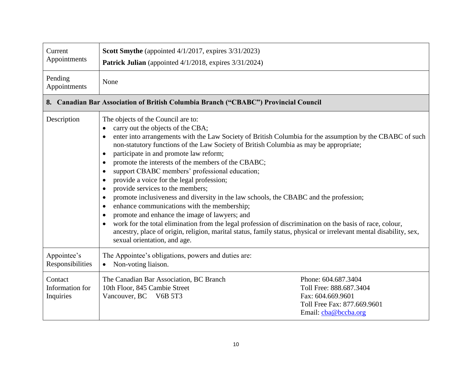<span id="page-14-0"></span>

| Current<br>Appointments                 | Scott Smythe (appointed 4/1/2017, expires 3/31/2023)<br><b>Patrick Julian</b> (appointed 4/1/2018, expires 3/31/2024)                                                                                                                                                                                                                                                                                                                                                                                                                                                                                                                                                                                                                                                                                                                                                                                                                                                                                                          |                                                                                                                            |
|-----------------------------------------|--------------------------------------------------------------------------------------------------------------------------------------------------------------------------------------------------------------------------------------------------------------------------------------------------------------------------------------------------------------------------------------------------------------------------------------------------------------------------------------------------------------------------------------------------------------------------------------------------------------------------------------------------------------------------------------------------------------------------------------------------------------------------------------------------------------------------------------------------------------------------------------------------------------------------------------------------------------------------------------------------------------------------------|----------------------------------------------------------------------------------------------------------------------------|
| Pending<br>Appointments                 | None                                                                                                                                                                                                                                                                                                                                                                                                                                                                                                                                                                                                                                                                                                                                                                                                                                                                                                                                                                                                                           |                                                                                                                            |
|                                         | 8. Canadian Bar Association of British Columbia Branch ("CBABC") Provincial Council                                                                                                                                                                                                                                                                                                                                                                                                                                                                                                                                                                                                                                                                                                                                                                                                                                                                                                                                            |                                                                                                                            |
| Description                             | The objects of the Council are to:<br>carry out the objects of the CBA;<br>enter into arrangements with the Law Society of British Columbia for the assumption by the CBABC of such<br>non-statutory functions of the Law Society of British Columbia as may be appropriate;<br>participate in and promote law reform;<br>promote the interests of the members of the CBABC;<br>$\bullet$<br>support CBABC members' professional education;<br>provide a voice for the legal profession;<br>provide services to the members;<br>$\bullet$<br>promote inclusiveness and diversity in the law schools, the CBABC and the profession;<br>enhance communications with the membership;<br>$\bullet$<br>promote and enhance the image of lawyers; and<br>$\bullet$<br>work for the total elimination from the legal profession of discrimination on the basis of race, colour,<br>ancestry, place of origin, religion, marital status, family status, physical or irrelevant mental disability, sex,<br>sexual orientation, and age. |                                                                                                                            |
| Appointee's<br>Responsibilities         | The Appointee's obligations, powers and duties are:<br>Non-voting liaison.<br>$\bullet$                                                                                                                                                                                                                                                                                                                                                                                                                                                                                                                                                                                                                                                                                                                                                                                                                                                                                                                                        |                                                                                                                            |
| Contact<br>Information for<br>Inquiries | The Canadian Bar Association, BC Branch<br>10th Floor, 845 Cambie Street<br>Vancouver, BC V6B 5T3                                                                                                                                                                                                                                                                                                                                                                                                                                                                                                                                                                                                                                                                                                                                                                                                                                                                                                                              | Phone: 604.687.3404<br>Toll Free: 888.687.3404<br>Fax: 604.669.9601<br>Toll Free Fax: 877.669.9601<br>Email: cha@bccba.org |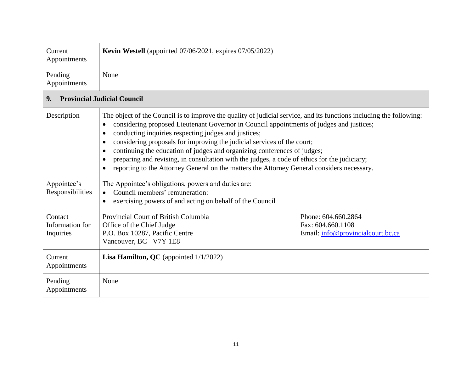<span id="page-15-0"></span>

| Current<br>Appointments                 | <b>Kevin Westell</b> (appointed 07/06/2021, expires 07/05/2022)                                                                                                                                                                                                                                                                                                                                                                                                                                                                                                                                                                           |                                   |
|-----------------------------------------|-------------------------------------------------------------------------------------------------------------------------------------------------------------------------------------------------------------------------------------------------------------------------------------------------------------------------------------------------------------------------------------------------------------------------------------------------------------------------------------------------------------------------------------------------------------------------------------------------------------------------------------------|-----------------------------------|
| Pending<br>Appointments                 | None                                                                                                                                                                                                                                                                                                                                                                                                                                                                                                                                                                                                                                      |                                   |
| 9.                                      | <b>Provincial Judicial Council</b>                                                                                                                                                                                                                                                                                                                                                                                                                                                                                                                                                                                                        |                                   |
| Description                             | The object of the Council is to improve the quality of judicial service, and its functions including the following:<br>considering proposed Lieutenant Governor in Council appointments of judges and justices;<br>conducting inquiries respecting judges and justices;<br>$\bullet$<br>considering proposals for improving the judicial services of the court;<br>continuing the education of judges and organizing conferences of judges;<br>preparing and revising, in consultation with the judges, a code of ethics for the judiciary;<br>reporting to the Attorney General on the matters the Attorney General considers necessary. |                                   |
| Appointee's<br>Responsibilities         | The Appointee's obligations, powers and duties are:<br>Council members' remuneration:<br>exercising powers of and acting on behalf of the Council<br>$\bullet$                                                                                                                                                                                                                                                                                                                                                                                                                                                                            |                                   |
| Contact<br>Information for<br>Inquiries | Provincial Court of British Columbia<br>Phone: 604.660.2864<br>Office of the Chief Judge<br>Fax: 604.660.1108<br>P.O. Box 10287, Pacific Centre<br>Vancouver, BC V7Y 1E8                                                                                                                                                                                                                                                                                                                                                                                                                                                                  | Email: info@provincialcourt.bc.ca |
| Current<br>Appointments                 | <b>Lisa Hamilton, QC</b> (appointed $1/1/2022$ )                                                                                                                                                                                                                                                                                                                                                                                                                                                                                                                                                                                          |                                   |
| Pending<br>Appointments                 | None                                                                                                                                                                                                                                                                                                                                                                                                                                                                                                                                                                                                                                      |                                   |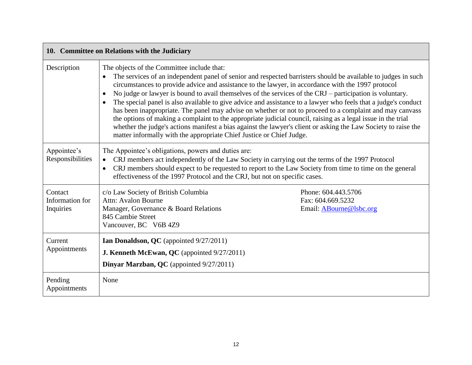<span id="page-16-0"></span>

|                                         | 10. Committee on Relations with the Judiciary                                                                                                                                                                                                                  |                                                                                                                                                                                                                                                                                                                                                                                                                                                                                                                                                                                                                                                                                           |
|-----------------------------------------|----------------------------------------------------------------------------------------------------------------------------------------------------------------------------------------------------------------------------------------------------------------|-------------------------------------------------------------------------------------------------------------------------------------------------------------------------------------------------------------------------------------------------------------------------------------------------------------------------------------------------------------------------------------------------------------------------------------------------------------------------------------------------------------------------------------------------------------------------------------------------------------------------------------------------------------------------------------------|
| Description                             | The objects of the Committee include that:<br>circumstances to provide advice and assistance to the lawyer, in accordance with the 1997 protocol<br>$\bullet$<br>$\bullet$<br>matter informally with the appropriate Chief Justice or Chief Judge.             | The services of an independent panel of senior and respected barristers should be available to judges in such<br>No judge or lawyer is bound to avail themselves of the services of the CRJ – participation is voluntary.<br>The special panel is also available to give advice and assistance to a lawyer who feels that a judge's conduct<br>has been inappropriate. The panel may advise on whether or not to proceed to a complaint and may canvass<br>the options of making a complaint to the appropriate judicial council, raising as a legal issue in the trial<br>whether the judge's actions manifest a bias against the lawyer's client or asking the Law Society to raise the |
| Appointee's<br>Responsibilities         | The Appointee's obligations, powers and duties are:<br>CRJ members act independently of the Law Society in carrying out the terms of the 1997 Protocol<br>$\bullet$<br>$\bullet$<br>effectiveness of the 1997 Protocol and the CRJ, but not on specific cases. | CRJ members should expect to be requested to report to the Law Society from time to time on the general                                                                                                                                                                                                                                                                                                                                                                                                                                                                                                                                                                                   |
| Contact<br>Information for<br>Inquiries | c/o Law Society of British Columbia<br>Attn: Avalon Bourne<br>Manager, Governance & Board Relations<br>845 Cambie Street<br>Vancouver, BC V6B 4Z9                                                                                                              | Phone: 604.443.5706<br>Fax: 604.669.5232<br>Email: ABourne@lsbc.org                                                                                                                                                                                                                                                                                                                                                                                                                                                                                                                                                                                                                       |
| Current<br>Appointments                 | Ian Donaldson, QC (appointed 9/27/2011)<br><b>J. Kenneth McEwan, QC</b> (appointed 9/27/2011)<br>Dinyar Marzban, QC (appointed 9/27/2011)                                                                                                                      |                                                                                                                                                                                                                                                                                                                                                                                                                                                                                                                                                                                                                                                                                           |
| Pending<br>Appointments                 | None                                                                                                                                                                                                                                                           |                                                                                                                                                                                                                                                                                                                                                                                                                                                                                                                                                                                                                                                                                           |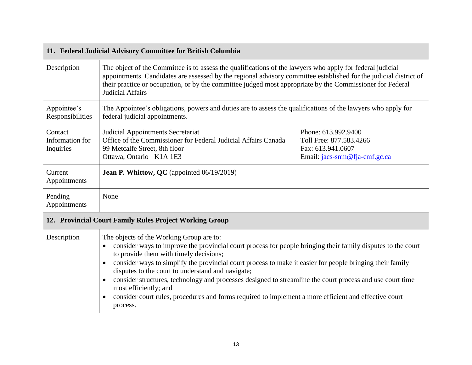<span id="page-17-1"></span><span id="page-17-0"></span>

|                                         | 11. Federal Judicial Advisory Committee for British Columbia                                                                                                                                                                                                                                                                                                                                                                                                                                                                                                                                                                                              |                                                                                                      |
|-----------------------------------------|-----------------------------------------------------------------------------------------------------------------------------------------------------------------------------------------------------------------------------------------------------------------------------------------------------------------------------------------------------------------------------------------------------------------------------------------------------------------------------------------------------------------------------------------------------------------------------------------------------------------------------------------------------------|------------------------------------------------------------------------------------------------------|
| Description                             | The object of the Committee is to assess the qualifications of the lawyers who apply for federal judicial<br>appointments. Candidates are assessed by the regional advisory committee established for the judicial district of<br>their practice or occupation, or by the committee judged most appropriate by the Commissioner for Federal<br><b>Judicial Affairs</b>                                                                                                                                                                                                                                                                                    |                                                                                                      |
| Appointee's<br>Responsibilities         | The Appointee's obligations, powers and duties are to assess the qualifications of the lawyers who apply for<br>federal judicial appointments.                                                                                                                                                                                                                                                                                                                                                                                                                                                                                                            |                                                                                                      |
| Contact<br>Information for<br>Inquiries | Judicial Appointments Secretariat<br>Office of the Commissioner for Federal Judicial Affairs Canada<br>99 Metcalfe Street, 8th floor<br>Ottawa, Ontario K1A 1E3                                                                                                                                                                                                                                                                                                                                                                                                                                                                                           | Phone: 613.992.9400<br>Toll Free: 877.583.4266<br>Fax: 613.941.0607<br>Email: jacs-snm@fja-cmf.gc.ca |
| Current<br>Appointments                 | Jean P. Whittow, QC (appointed 06/19/2019)                                                                                                                                                                                                                                                                                                                                                                                                                                                                                                                                                                                                                |                                                                                                      |
| Pending<br>Appointments                 | None                                                                                                                                                                                                                                                                                                                                                                                                                                                                                                                                                                                                                                                      |                                                                                                      |
|                                         | 12. Provincial Court Family Rules Project Working Group                                                                                                                                                                                                                                                                                                                                                                                                                                                                                                                                                                                                   |                                                                                                      |
| Description                             | The objects of the Working Group are to:<br>consider ways to improve the provincial court process for people bringing their family disputes to the court<br>to provide them with timely decisions;<br>consider ways to simplify the provincial court process to make it easier for people bringing their family<br>disputes to the court to understand and navigate;<br>consider structures, technology and processes designed to streamline the court process and use court time<br>$\bullet$<br>most efficiently; and<br>consider court rules, procedures and forms required to implement a more efficient and effective court<br>$\bullet$<br>process. |                                                                                                      |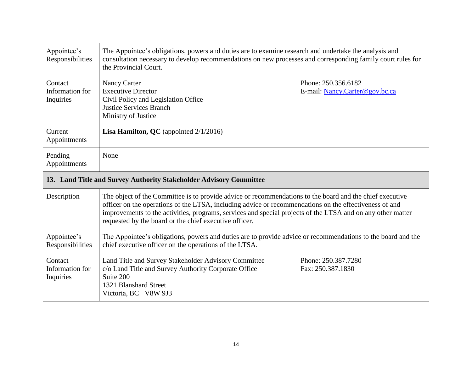<span id="page-18-0"></span>

| Appointee's<br>Responsibilities         | The Appointee's obligations, powers and duties are to examine research and undertake the analysis and<br>consultation necessary to develop recommendations on new processes and corresponding family court rules for<br>the Provincial Court.                                                                                                                                               |                                                       |
|-----------------------------------------|---------------------------------------------------------------------------------------------------------------------------------------------------------------------------------------------------------------------------------------------------------------------------------------------------------------------------------------------------------------------------------------------|-------------------------------------------------------|
| Contact<br>Information for<br>Inquiries | Nancy Carter<br><b>Executive Director</b><br>Civil Policy and Legislation Office<br><b>Justice Services Branch</b><br>Ministry of Justice                                                                                                                                                                                                                                                   | Phone: 250.356.6182<br>E-mail: Nancy.Carter@gov.bc.ca |
| Current<br>Appointments                 | <b>Lisa Hamilton, QC</b> (appointed $2/1/2016$ )                                                                                                                                                                                                                                                                                                                                            |                                                       |
| Pending<br>Appointments                 | None                                                                                                                                                                                                                                                                                                                                                                                        |                                                       |
|                                         | 13. Land Title and Survey Authority Stakeholder Advisory Committee                                                                                                                                                                                                                                                                                                                          |                                                       |
|                                         |                                                                                                                                                                                                                                                                                                                                                                                             |                                                       |
| Description                             | The object of the Committee is to provide advice or recommendations to the board and the chief executive<br>officer on the operations of the LTSA, including advice or recommendations on the effectiveness of and<br>improvements to the activities, programs, services and special projects of the LTSA and on any other matter<br>requested by the board or the chief executive officer. |                                                       |
| Appointee's<br>Responsibilities         | The Appointee's obligations, powers and duties are to provide advice or recommendations to the board and the<br>chief executive officer on the operations of the LTSA.                                                                                                                                                                                                                      |                                                       |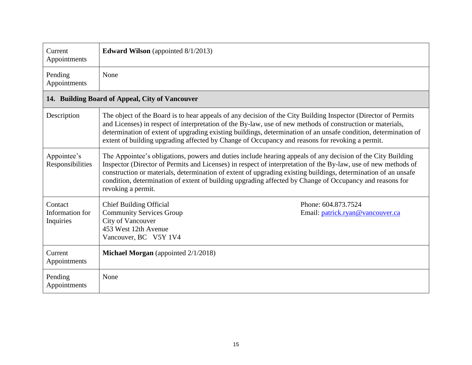<span id="page-19-0"></span>

| Current<br>Appointments                         | <b>Edward Wilson</b> (appointed 8/1/2013)                                                                                                                                                                                                                                                                                                                                                                                                                                         |  |  |  |
|-------------------------------------------------|-----------------------------------------------------------------------------------------------------------------------------------------------------------------------------------------------------------------------------------------------------------------------------------------------------------------------------------------------------------------------------------------------------------------------------------------------------------------------------------|--|--|--|
| Pending<br>Appointments                         | None                                                                                                                                                                                                                                                                                                                                                                                                                                                                              |  |  |  |
| 14. Building Board of Appeal, City of Vancouver |                                                                                                                                                                                                                                                                                                                                                                                                                                                                                   |  |  |  |
| Description                                     | The object of the Board is to hear appeals of any decision of the City Building Inspector (Director of Permits<br>and Licenses) in respect of interpretation of the By-law, use of new methods of construction or materials,<br>determination of extent of upgrading existing buildings, determination of an unsafe condition, determination of<br>extent of building upgrading affected by Change of Occupancy and reasons for revoking a permit.                                |  |  |  |
| Appointee's<br>Responsibilities                 | The Appointee's obligations, powers and duties include hearing appeals of any decision of the City Building<br>Inspector (Director of Permits and Licenses) in respect of interpretation of the By-law, use of new methods of<br>construction or materials, determination of extent of upgrading existing buildings, determination of an unsafe<br>condition, determination of extent of building upgrading affected by Change of Occupancy and reasons for<br>revoking a permit. |  |  |  |
| Contact<br>Information for<br>Inquiries         | <b>Chief Building Official</b><br>Phone: 604.873.7524<br><b>Community Services Group</b><br>Email: patrick.ryan@vancouver.ca<br>City of Vancouver<br>453 West 12th Avenue<br>Vancouver, BC V5Y 1V4                                                                                                                                                                                                                                                                                |  |  |  |
| Current<br>Appointments                         | Michael Morgan (appointed 2/1/2018)                                                                                                                                                                                                                                                                                                                                                                                                                                               |  |  |  |
| Pending<br>Appointments                         | None                                                                                                                                                                                                                                                                                                                                                                                                                                                                              |  |  |  |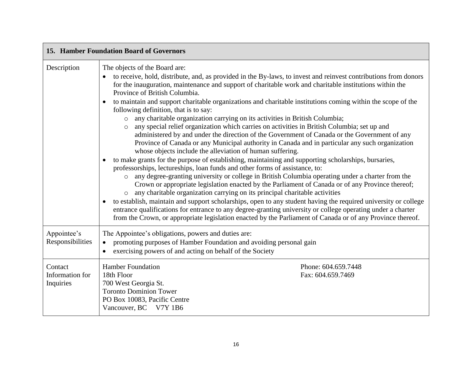<span id="page-20-0"></span>

| 15. Hamber Foundation Board of Governors |                                                                                                                                                                                                                                                                                                                                                                                                                                                                                                                                                                                                                                                                                                                                                                                                                                                                                                                                                                                                                                                                                                                                                                                                                                                                                                                                                                                                                                                                                                                                                                                                                                                                                                                                                                            |                                          |  |  |
|------------------------------------------|----------------------------------------------------------------------------------------------------------------------------------------------------------------------------------------------------------------------------------------------------------------------------------------------------------------------------------------------------------------------------------------------------------------------------------------------------------------------------------------------------------------------------------------------------------------------------------------------------------------------------------------------------------------------------------------------------------------------------------------------------------------------------------------------------------------------------------------------------------------------------------------------------------------------------------------------------------------------------------------------------------------------------------------------------------------------------------------------------------------------------------------------------------------------------------------------------------------------------------------------------------------------------------------------------------------------------------------------------------------------------------------------------------------------------------------------------------------------------------------------------------------------------------------------------------------------------------------------------------------------------------------------------------------------------------------------------------------------------------------------------------------------------|------------------------------------------|--|--|
| Description                              | The objects of the Board are:<br>to receive, hold, distribute, and, as provided in the By-laws, to invest and reinvest contributions from donors<br>for the inauguration, maintenance and support of charitable work and charitable institutions within the<br>Province of British Columbia.<br>to maintain and support charitable organizations and charitable institutions coming within the scope of the<br>following definition, that is to say:<br>any charitable organization carrying on its activities in British Columbia;<br>$\circ$<br>any special relief organization which carries on activities in British Columbia; set up and<br>$\circ$<br>administered by and under the direction of the Government of Canada or the Government of any<br>Province of Canada or any Municipal authority in Canada and in particular any such organization<br>whose objects include the alleviation of human suffering.<br>to make grants for the purpose of establishing, maintaining and supporting scholarships, bursaries,<br>professorships, lectureships, loan funds and other forms of assistance, to:<br>any degree-granting university or college in British Columbia operating under a charter from the<br>$\circ$<br>Crown or appropriate legislation enacted by the Parliament of Canada or of any Province thereof;<br>any charitable organization carrying on its principal charitable activities<br>$\circ$<br>to establish, maintain and support scholarships, open to any student having the required university or college<br>entrance qualifications for entrance to any degree-granting university or college operating under a charter<br>from the Crown, or appropriate legislation enacted by the Parliament of Canada or of any Province thereof. |                                          |  |  |
| Appointee's<br>Responsibilities          | The Appointee's obligations, powers and duties are:<br>promoting purposes of Hamber Foundation and avoiding personal gain<br>$\bullet$<br>exercising powers of and acting on behalf of the Society                                                                                                                                                                                                                                                                                                                                                                                                                                                                                                                                                                                                                                                                                                                                                                                                                                                                                                                                                                                                                                                                                                                                                                                                                                                                                                                                                                                                                                                                                                                                                                         |                                          |  |  |
| Contact<br>Information for<br>Inquiries  | <b>Hamber Foundation</b><br>18th Floor<br>700 West Georgia St.<br><b>Toronto Dominion Tower</b><br>PO Box 10083, Pacific Centre<br>Vancouver, BC V7Y 1B6                                                                                                                                                                                                                                                                                                                                                                                                                                                                                                                                                                                                                                                                                                                                                                                                                                                                                                                                                                                                                                                                                                                                                                                                                                                                                                                                                                                                                                                                                                                                                                                                                   | Phone: 604.659.7448<br>Fax: 604.659.7469 |  |  |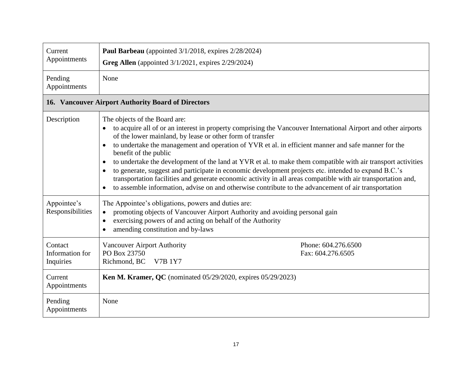<span id="page-21-0"></span>

| Current                                            | Paul Barbeau (appointed 3/1/2018, expires 2/28/2024)                                                                                                                                                                                                                                                                                                                                                                                                                                                                                                                                                                                                                                                                                                                                                       |  |  |  |
|----------------------------------------------------|------------------------------------------------------------------------------------------------------------------------------------------------------------------------------------------------------------------------------------------------------------------------------------------------------------------------------------------------------------------------------------------------------------------------------------------------------------------------------------------------------------------------------------------------------------------------------------------------------------------------------------------------------------------------------------------------------------------------------------------------------------------------------------------------------------|--|--|--|
| Appointments                                       | Greg Allen (appointed $3/1/2021$ , expires $2/29/2024$ )                                                                                                                                                                                                                                                                                                                                                                                                                                                                                                                                                                                                                                                                                                                                                   |  |  |  |
| Pending<br>Appointments                            | None                                                                                                                                                                                                                                                                                                                                                                                                                                                                                                                                                                                                                                                                                                                                                                                                       |  |  |  |
| 16. Vancouver Airport Authority Board of Directors |                                                                                                                                                                                                                                                                                                                                                                                                                                                                                                                                                                                                                                                                                                                                                                                                            |  |  |  |
| Description                                        | The objects of the Board are:<br>to acquire all of or an interest in property comprising the Vancouver International Airport and other airports<br>of the lower mainland, by lease or other form of transfer<br>to undertake the management and operation of YVR et al. in efficient manner and safe manner for the<br>benefit of the public<br>to undertake the development of the land at YVR et al. to make them compatible with air transport activities<br>$\bullet$<br>to generate, suggest and participate in economic development projects etc. intended to expand B.C.'s<br>transportation facilities and generate economic activity in all areas compatible with air transportation and,<br>to assemble information, advise on and otherwise contribute to the advancement of air transportation |  |  |  |
| Appointee's<br>Responsibilities                    | The Appointee's obligations, powers and duties are:<br>promoting objects of Vancouver Airport Authority and avoiding personal gain<br>exercising powers of and acting on behalf of the Authority<br>$\bullet$<br>amending constitution and by-laws                                                                                                                                                                                                                                                                                                                                                                                                                                                                                                                                                         |  |  |  |
| Contact<br>Information for<br>Inquiries            | Phone: 604.276.6500<br><b>Vancouver Airport Authority</b><br>PO Box 23750<br>Fax: 604.276.6505<br>Richmond, BC<br><b>V7B 1Y7</b>                                                                                                                                                                                                                                                                                                                                                                                                                                                                                                                                                                                                                                                                           |  |  |  |
| Current<br>Appointments                            | <b>Ken M. Kramer, QC</b> (nominated 05/29/2020, expires 05/29/2023)                                                                                                                                                                                                                                                                                                                                                                                                                                                                                                                                                                                                                                                                                                                                        |  |  |  |
| Pending<br>Appointments                            | None                                                                                                                                                                                                                                                                                                                                                                                                                                                                                                                                                                                                                                                                                                                                                                                                       |  |  |  |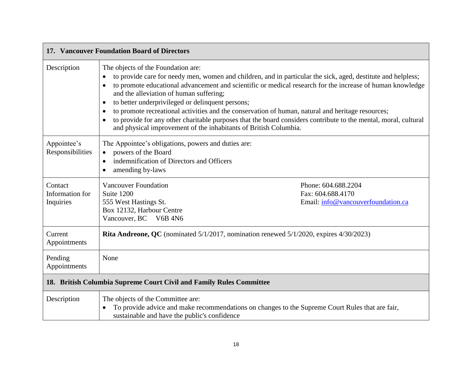<span id="page-22-1"></span><span id="page-22-0"></span>

| 17. Vancouver Foundation Board of Directors                         |                                                                                                                                                                                                                                                                                                                                                                                                                                                                                                                                                                                                                                                                                                                             |                                                                                |  |  |
|---------------------------------------------------------------------|-----------------------------------------------------------------------------------------------------------------------------------------------------------------------------------------------------------------------------------------------------------------------------------------------------------------------------------------------------------------------------------------------------------------------------------------------------------------------------------------------------------------------------------------------------------------------------------------------------------------------------------------------------------------------------------------------------------------------------|--------------------------------------------------------------------------------|--|--|
| Description                                                         | The objects of the Foundation are:<br>to provide care for needy men, women and children, and in particular the sick, aged, destitute and helpless;<br>$\bullet$<br>to promote educational advancement and scientific or medical research for the increase of human knowledge<br>$\bullet$<br>and the alleviation of human suffering;<br>to better underprivileged or delinquent persons;<br>$\bullet$<br>to promote recreational activities and the conservation of human, natural and heritage resources;<br>$\bullet$<br>to provide for any other charitable purposes that the board considers contribute to the mental, moral, cultural<br>$\bullet$<br>and physical improvement of the inhabitants of British Columbia. |                                                                                |  |  |
| Appointee's<br>Responsibilities                                     | The Appointee's obligations, powers and duties are:<br>powers of the Board<br>indemnification of Directors and Officers<br>$\bullet$<br>amending by-laws<br>$\bullet$                                                                                                                                                                                                                                                                                                                                                                                                                                                                                                                                                       |                                                                                |  |  |
| Contact<br>Information for<br>Inquiries                             | <b>Vancouver Foundation</b><br>Suite 1200<br>555 West Hastings St.<br>Box 12132, Harbour Centre<br>Vancouver, BC V6B 4N6                                                                                                                                                                                                                                                                                                                                                                                                                                                                                                                                                                                                    | Phone: 604.688.2204<br>Fax: 604.688.4170<br>Email: info@vancouverfoundation.ca |  |  |
| Current<br>Appointments                                             | <b>Rita Andreone, QC</b> (nominated 5/1/2017, nomination renewed 5/1/2020, expires 4/30/2023)                                                                                                                                                                                                                                                                                                                                                                                                                                                                                                                                                                                                                               |                                                                                |  |  |
| Pending<br>Appointments                                             | None                                                                                                                                                                                                                                                                                                                                                                                                                                                                                                                                                                                                                                                                                                                        |                                                                                |  |  |
| 18. British Columbia Supreme Court Civil and Family Rules Committee |                                                                                                                                                                                                                                                                                                                                                                                                                                                                                                                                                                                                                                                                                                                             |                                                                                |  |  |
| Description                                                         | The objects of the Committee are:<br>To provide advice and make recommendations on changes to the Supreme Court Rules that are fair,<br>sustainable and have the public's confidence                                                                                                                                                                                                                                                                                                                                                                                                                                                                                                                                        |                                                                                |  |  |